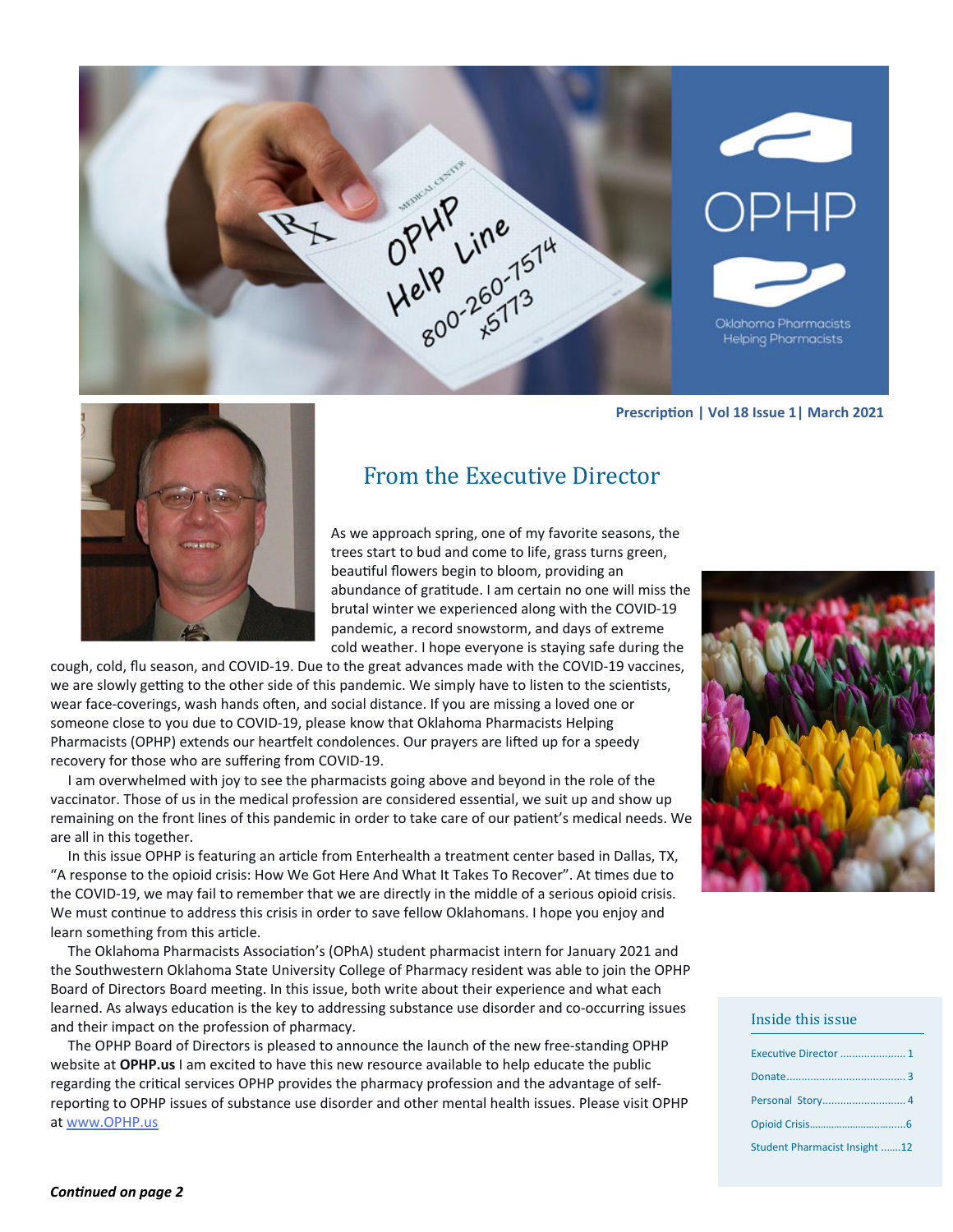

#### **PrescripƟon | Vol 18 Issue 1| March 2021**



## From the Executive Director

As we approach spring, one of my favorite seasons, the trees start to bud and come to life, grass turns green, beautiful flowers begin to bloom, providing an abundance of gratitude. I am certain no one will miss the brutal winter we experienced along with the COVID‐19 pandemic, a record snowstorm, and days of extreme cold weather. I hope everyone is staying safe during the

cough, cold, flu season, and COVID‐19. Due to the great advances made with the COVID‐19 vaccines, we are slowly getting to the other side of this pandemic. We simply have to listen to the scientists, wear face-coverings, wash hands often, and social distance. If you are missing a loved one or someone close to you due to COVID‐19, please know that Oklahoma Pharmacists Helping Pharmacists (OPHP) extends our heartfelt condolences. Our prayers are lifted up for a speedy recovery for those who are suffering from COVID‐19.

 I am overwhelmed with joy to see the pharmacists going above and beyond in the role of the vaccinator. Those of us in the medical profession are considered essential, we suit up and show up remaining on the front lines of this pandemic in order to take care of our patient's medical needs. We are all in this together.

In this issue OPHP is featuring an article from Enterhealth a treatment center based in Dallas, TX, "A response to the opioid crisis: How We Got Here And What It Takes To Recover". At times due to the COVID‐19, we may fail to remember that we are directly in the middle of a serious opioid crisis. We must continue to address this crisis in order to save fellow Oklahomans. I hope you enjoy and learn something from this article.

The Oklahoma Pharmacists Association's (OPhA) student pharmacist intern for January 2021 and the Southwestern Oklahoma State University College of Pharmacy resident was able to join the OPHP Board of Directors Board meeting. In this issue, both write about their experience and what each learned. As always education is the key to addressing substance use disorder and co-occurring issues and their impact on the profession of pharmacy.

 The OPHP Board of Directors is pleased to announce the launch of the new free‐standing OPHP website at **OPHP.us** I am excited to have this new resource available to help educate the public regarding the critical services OPHP provides the pharmacy profession and the advantage of selfreporting to OPHP issues of substance use disorder and other mental health issues. Please visit OPHP at www.OPHP.us



#### Inside this issue

| Student Pharmacist Insight 12 |
|-------------------------------|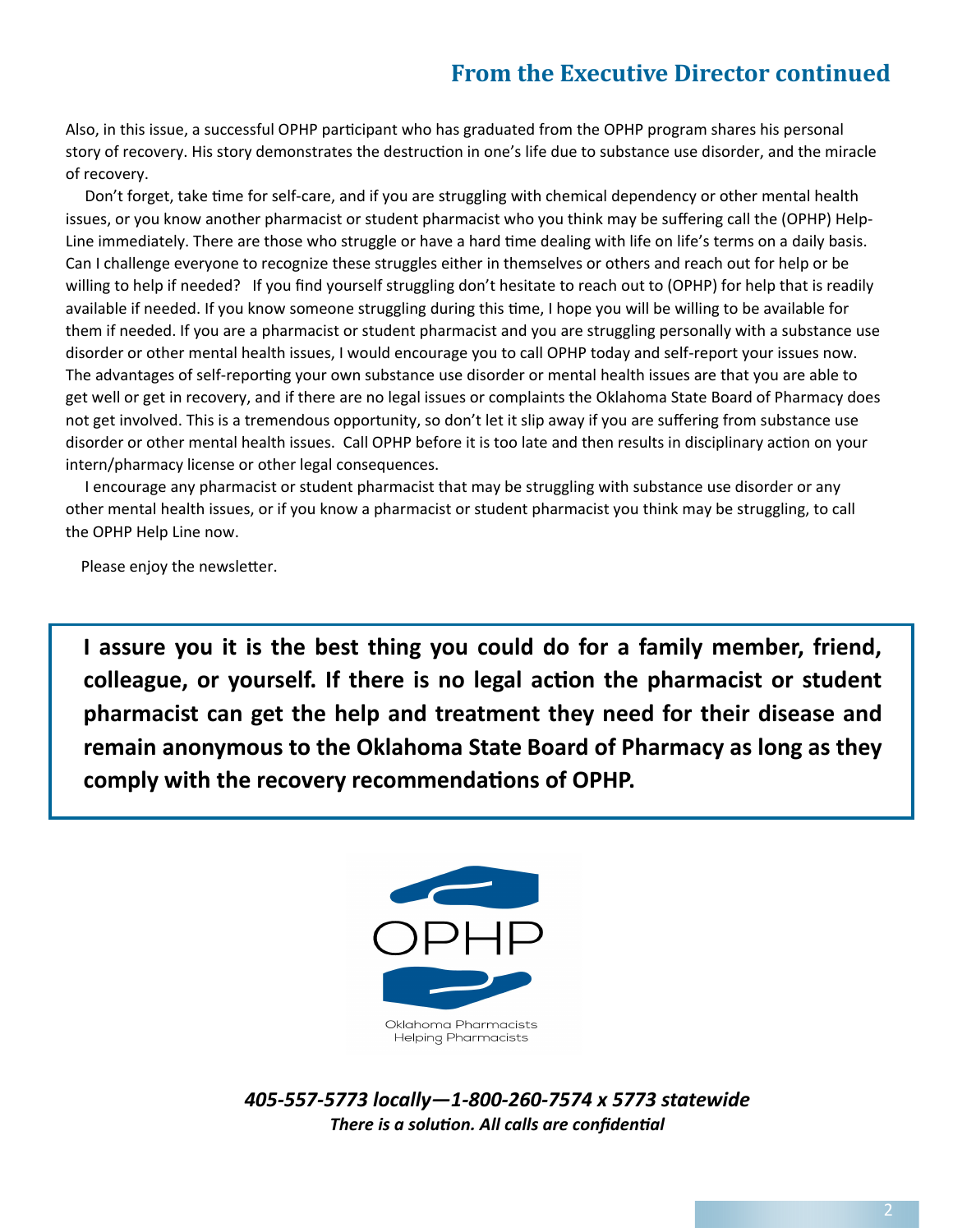# **From the Executive Director continued**

Also, in this issue, a successful OPHP participant who has graduated from the OPHP program shares his personal story of recovery. His story demonstrates the destruction in one's life due to substance use disorder, and the miracle of recovery.

Don't forget, take time for self-care, and if you are struggling with chemical dependency or other mental health issues, or you know another pharmacist or student pharmacist who you think may be suffering call the (OPHP) Help-Line immediately. There are those who struggle or have a hard time dealing with life on life's terms on a daily basis. Can I challenge everyone to recognize these struggles either in themselves or others and reach out for help or be willing to help if needed? If you find yourself struggling don't hesitate to reach out to (OPHP) for help that is readily available if needed. If you know someone struggling during this time, I hope you will be willing to be available for them if needed. If you are a pharmacist or student pharmacist and you are struggling personally with a substance use disorder or other mental health issues, I would encourage you to call OPHP today and self‐report your issues now. The advantages of self-reporting your own substance use disorder or mental health issues are that you are able to get well or get in recovery, and if there are no legal issues or complaints the Oklahoma State Board of Pharmacy does not get involved. This is a tremendous opportunity, so don't let it slip away if you are suffering from substance use disorder or other mental health issues. Call OPHP before it is too late and then results in disciplinary action on your intern/pharmacy license or other legal consequences.

 I encourage any pharmacist or student pharmacist that may be struggling with substance use disorder or any other mental health issues, or if you know a pharmacist or student pharmacist you think may be struggling, to call the OPHP Help Line now.

Please enjoy the newsletter.

**I assure you it is the best thing you could do for a family member, friend, colleague, or yourself. If there is no legal acƟon the pharmacist or student pharmacist can get the help and treatment they need for their disease and remain anonymous to the Oklahoma State Board of Pharmacy as long as they comply with the recovery recommendaƟons of OPHP.**



*405‐557‐5773 locally—1‐800‐260‐7574 x 5773 statewide There is a solution. All calls are confidential*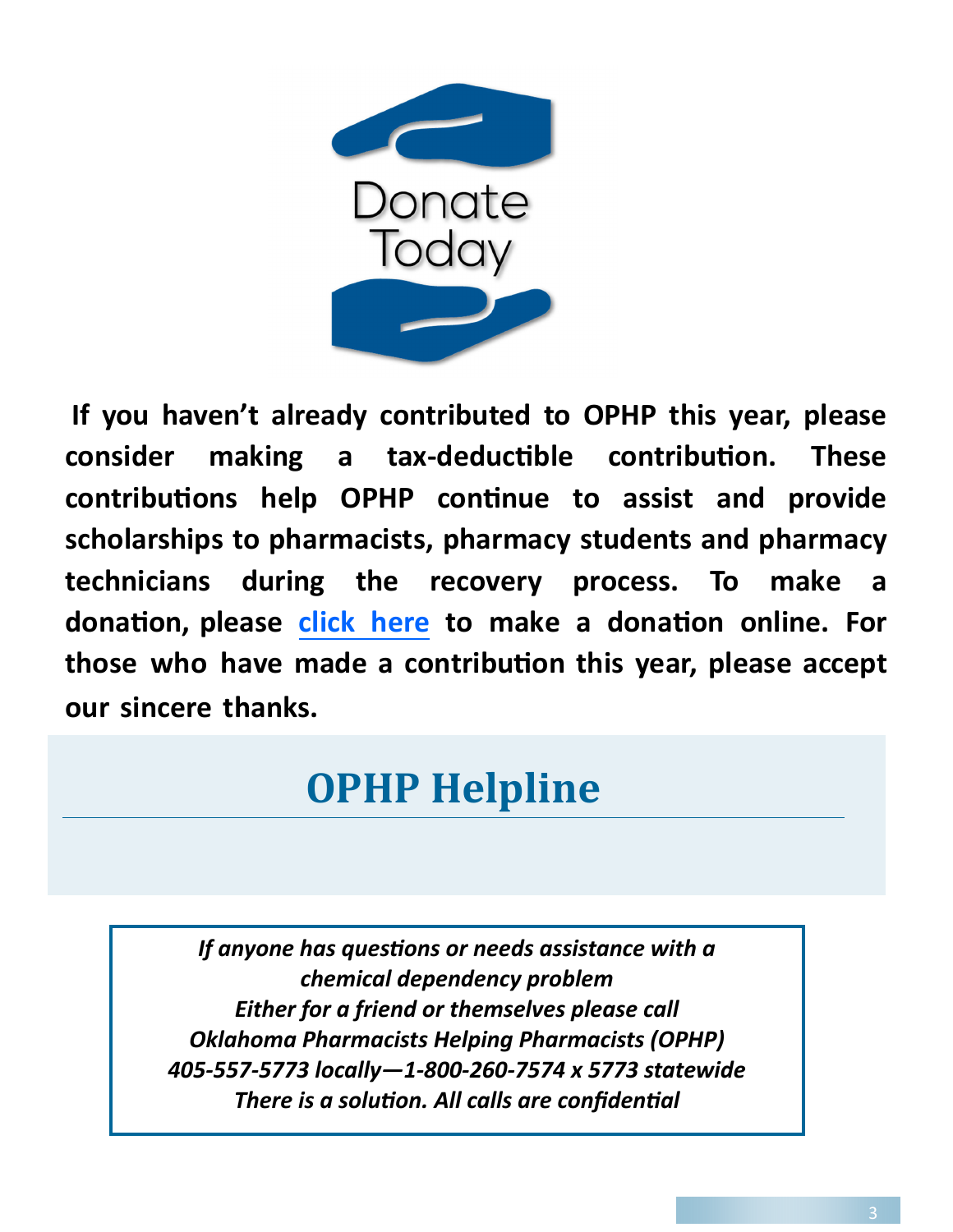

**If you haven't already contributed to OPHP this year, please consider making a tax‐deducƟble contribuƟon. These contribuƟons help OPHP conƟnue to assist and provide scholarships to pharmacists, pharmacy students and pharmacy technicians during the recovery process. To make a donaƟon, please [click here](https://secure.affinipay.com/pages/oklahoma-pharmacists-association/pharmacists-helping-pharmacists) to make a donaƟon online. For those who have made a contribuƟon this year, please accept our sincere thanks.**

# **OPHP Helpline**

*If anyone has quesƟons or needs assistance with a chemical dependency problem Either for a friend or themselves please call Oklahoma Pharmacists Helping Pharmacists (OPHP) 405‐557‐5773 locally—1‐800‐260‐7574 x 5773 statewide There is a solution. All calls are confidential*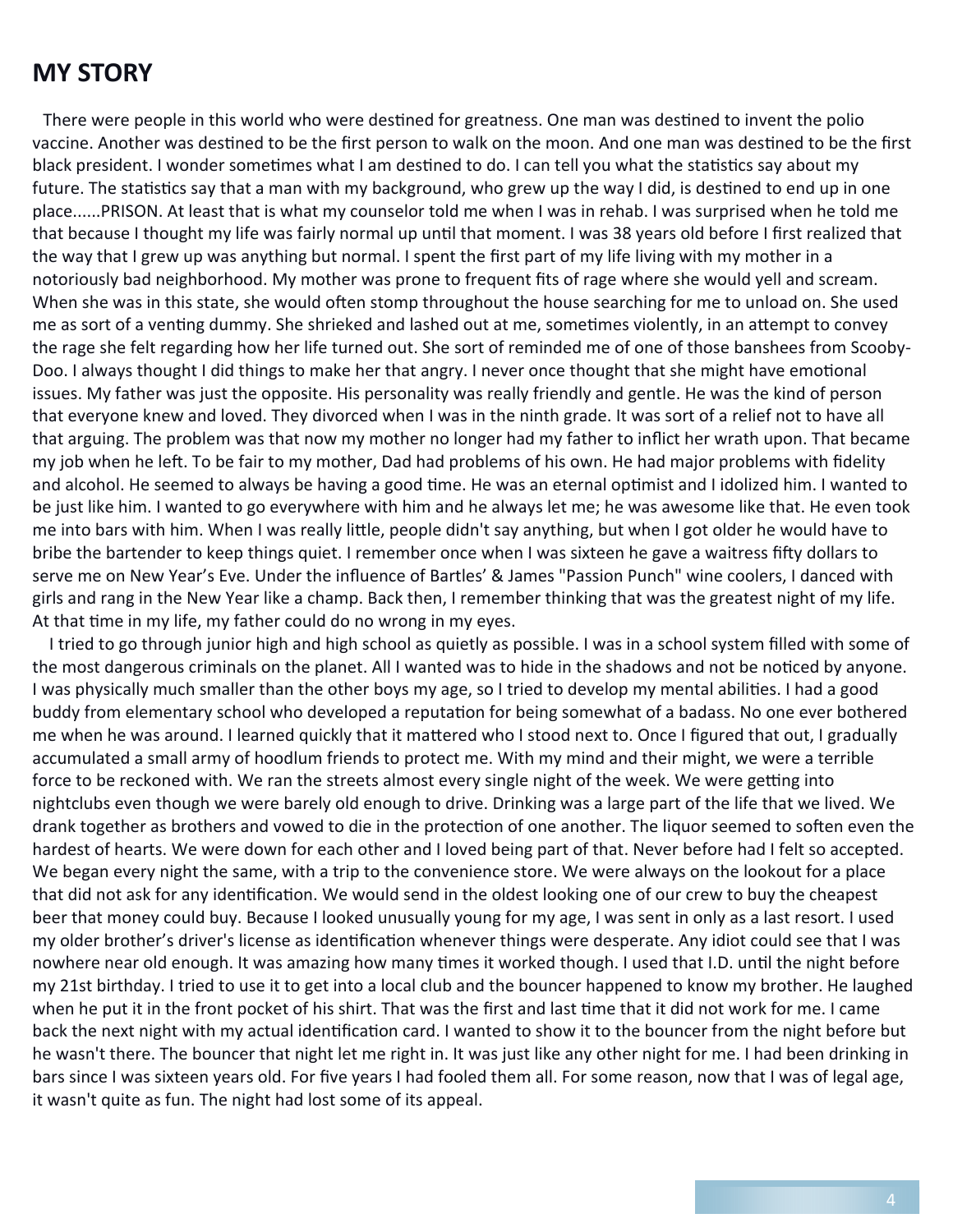## **MY STORY**

There were people in this world who were destined for greatness. One man was destined to invent the polio vaccine. Another was destined to be the first person to walk on the moon. And one man was destined to be the first black president. I wonder sometimes what I am destined to do. I can tell you what the statistics say about my future. The statistics say that a man with my background, who grew up the way I did, is destined to end up in one place......PRISON. At least that is what my counselor told me when I was in rehab. I was surprised when he told me that because I thought my life was fairly normal up until that moment. I was 38 years old before I first realized that the way that I grew up was anything but normal. I spent the first part of my life living with my mother in a notoriously bad neighborhood. My mother was prone to frequent fits of rage where she would yell and scream. When she was in this state, she would often stomp throughout the house searching for me to unload on. She used me as sort of a venting dummy. She shrieked and lashed out at me, sometimes violently, in an attempt to convey the rage she felt regarding how her life turned out. She sort of reminded me of one of those banshees from Scooby‐ Doo. I always thought I did things to make her that angry. I never once thought that she might have emotional issues. My father was just the opposite. His personality was really friendly and gentle. He was the kind of person that everyone knew and loved. They divorced when I was in the ninth grade. It was sort of a relief not to have all that arguing. The problem was that now my mother no longer had my father to inflict her wrath upon. That became my job when he left. To be fair to my mother, Dad had problems of his own. He had major problems with fidelity and alcohol. He seemed to always be having a good time. He was an eternal optimist and I idolized him. I wanted to be just like him. I wanted to go everywhere with him and he always let me; he was awesome like that. He even took me into bars with him. When I was really little, people didn't say anything, but when I got older he would have to bribe the bartender to keep things quiet. I remember once when I was sixteen he gave a waitress fifty dollars to serve me on New Year's Eve. Under the influence of Bartles' & James "Passion Punch" wine coolers, I danced with girls and rang in the New Year like a champ. Back then, I remember thinking that was the greatest night of my life. At that time in my life, my father could do no wrong in my eyes.

 I tried to go through junior high and high school as quietly as possible. I was in a school system filled with some of the most dangerous criminals on the planet. All I wanted was to hide in the shadows and not be noticed by anyone. I was physically much smaller than the other boys my age, so I tried to develop my mental abilities. I had a good buddy from elementary school who developed a reputation for being somewhat of a badass. No one ever bothered me when he was around. I learned quickly that it mattered who I stood next to. Once I figured that out, I gradually accumulated a small army of hoodlum friends to protect me. With my mind and their might, we were a terrible force to be reckoned with. We ran the streets almost every single night of the week. We were getting into nightclubs even though we were barely old enough to drive. Drinking was a large part of the life that we lived. We drank together as brothers and vowed to die in the protection of one another. The liquor seemed to soften even the hardest of hearts. We were down for each other and I loved being part of that. Never before had I felt so accepted. We began every night the same, with a trip to the convenience store. We were always on the lookout for a place that did not ask for any identification. We would send in the oldest looking one of our crew to buy the cheapest beer that money could buy. Because I looked unusually young for my age, I was sent in only as a last resort. I used my older brother's driver's license as identification whenever things were desperate. Any idiot could see that I was nowhere near old enough. It was amazing how many times it worked though. I used that I.D. until the night before my 21st birthday. I tried to use it to get into a local club and the bouncer happened to know my brother. He laughed when he put it in the front pocket of his shirt. That was the first and last time that it did not work for me. I came back the next night with my actual identification card. I wanted to show it to the bouncer from the night before but he wasn't there. The bouncer that night let me right in. It was just like any other night for me. I had been drinking in bars since I was sixteen years old. For five years I had fooled them all. For some reason, now that I was of legal age, it wasn't quite as fun. The night had lost some of its appeal.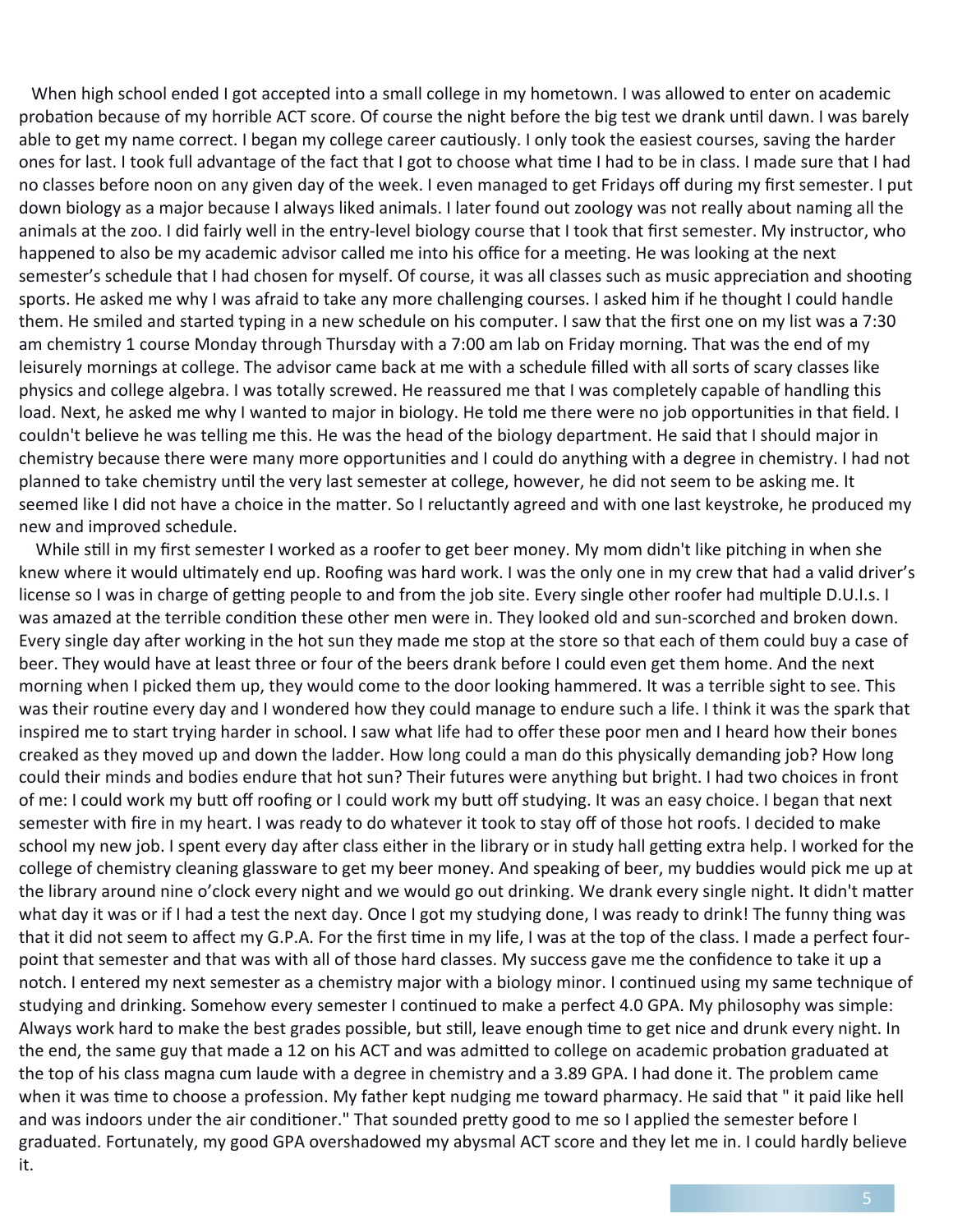When high school ended I got accepted into a small college in my hometown. I was allowed to enter on academic probation because of my horrible ACT score. Of course the night before the big test we drank until dawn. I was barely able to get my name correct. I began my college career cautiously. I only took the easiest courses, saving the harder ones for last. I took full advantage of the fact that I got to choose what time I had to be in class. I made sure that I had no classes before noon on any given day of the week. I even managed to get Fridays off during my first semester. I put down biology as a major because I always liked animals. I later found out zoology was not really about naming all the animals at the zoo. I did fairly well in the entry-level biology course that I took that first semester. My instructor, who happened to also be my academic advisor called me into his office for a meeting. He was looking at the next semester's schedule that I had chosen for myself. Of course, it was all classes such as music appreciation and shooting sports. He asked me why I was afraid to take any more challenging courses. I asked him if he thought I could handle them. He smiled and started typing in a new schedule on his computer. I saw that the first one on my list was a 7:30 am chemistry 1 course Monday through Thursday with a 7:00 am lab on Friday morning. That was the end of my leisurely mornings at college. The advisor came back at me with a schedule filled with all sorts of scary classes like physics and college algebra. I was totally screwed. He reassured me that I was completely capable of handling this load. Next, he asked me why I wanted to major in biology. He told me there were no job opportunities in that field. I couldn't believe he was telling me this. He was the head of the biology department. He said that I should major in chemistry because there were many more opportunities and I could do anything with a degree in chemistry. I had not planned to take chemistry until the very last semester at college, however, he did not seem to be asking me. It seemed like I did not have a choice in the matter. So I reluctantly agreed and with one last keystroke, he produced my new and improved schedule.

While still in my first semester I worked as a roofer to get beer money. My mom didn't like pitching in when she knew where it would ultimately end up. Roofing was hard work. I was the only one in my crew that had a valid driver's license so I was in charge of getting people to and from the job site. Every single other roofer had multiple D.U.I.s. I was amazed at the terrible condition these other men were in. They looked old and sun-scorched and broken down. Every single day after working in the hot sun they made me stop at the store so that each of them could buy a case of beer. They would have at least three or four of the beers drank before I could even get them home. And the next morning when I picked them up, they would come to the door looking hammered. It was a terrible sight to see. This was their routine every day and I wondered how they could manage to endure such a life. I think it was the spark that inspired me to start trying harder in school. I saw what life had to offer these poor men and I heard how their bones creaked as they moved up and down the ladder. How long could a man do this physically demanding job? How long could their minds and bodies endure that hot sun? Their futures were anything but bright. I had two choices in front of me: I could work my butt off roofing or I could work my butt off studying. It was an easy choice. I began that next semester with fire in my heart. I was ready to do whatever it took to stay off of those hot roofs. I decided to make school my new job. I spent every day after class either in the library or in study hall getting extra help. I worked for the college of chemistry cleaning glassware to get my beer money. And speaking of beer, my buddies would pick me up at the library around nine o'clock every night and we would go out drinking. We drank every single night. It didn't matter what day it was or if I had a test the next day. Once I got my studying done, I was ready to drink! The funny thing was that it did not seem to affect my G.P.A. For the first time in my life, I was at the top of the class. I made a perfect fourpoint that semester and that was with all of those hard classes. My success gave me the confidence to take it up a notch. I entered my next semester as a chemistry major with a biology minor. I continued using my same technique of studying and drinking. Somehow every semester I continued to make a perfect 4.0 GPA. My philosophy was simple: Always work hard to make the best grades possible, but still, leave enough time to get nice and drunk every night. In the end, the same guy that made a 12 on his ACT and was admitted to college on academic probation graduated at the top of his class magna cum laude with a degree in chemistry and a 3.89 GPA. I had done it. The problem came when it was time to choose a profession. My father kept nudging me toward pharmacy. He said that " it paid like hell and was indoors under the air conditioner." That sounded pretty good to me so I applied the semester before I graduated. Fortunately, my good GPA overshadowed my abysmal ACT score and they let me in. I could hardly believe it.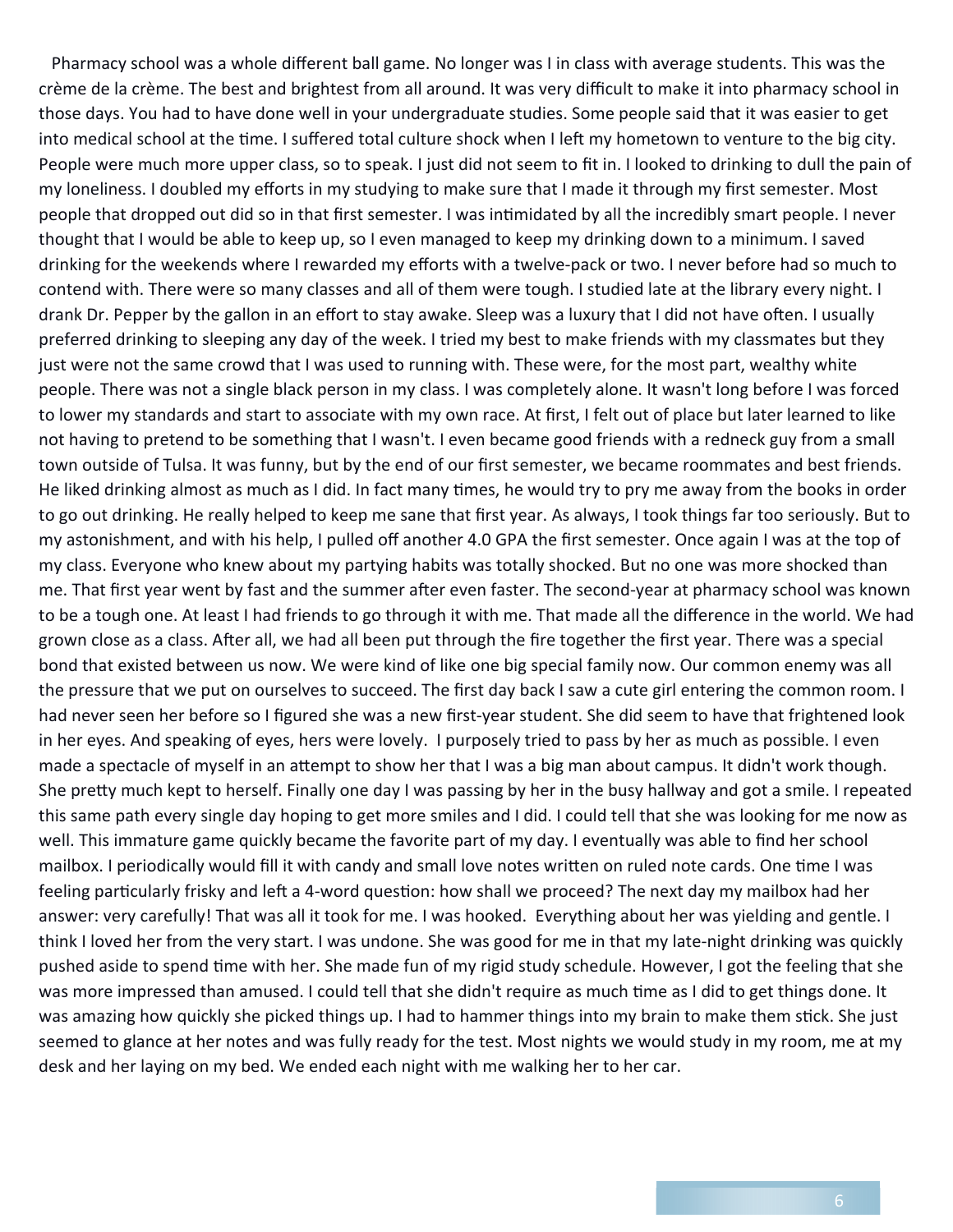Pharmacy school was a whole different ball game. No longer was I in class with average students. This was the crème de la crème. The best and brightest from all around. It was very difficult to make it into pharmacy school in those days. You had to have done well in your undergraduate studies. Some people said that it was easier to get into medical school at the time. I suffered total culture shock when I left my hometown to venture to the big city. People were much more upper class, so to speak. I just did not seem to fit in. I looked to drinking to dull the pain of my loneliness. I doubled my efforts in my studying to make sure that I made it through my first semester. Most people that dropped out did so in that first semester. I was intimidated by all the incredibly smart people. I never thought that I would be able to keep up, so I even managed to keep my drinking down to a minimum. I saved drinking for the weekends where I rewarded my efforts with a twelve‐pack or two. I never before had so much to contend with. There were so many classes and all of them were tough. I studied late at the library every night. I drank Dr. Pepper by the gallon in an effort to stay awake. Sleep was a luxury that I did not have often. I usually preferred drinking to sleeping any day of the week. I tried my best to make friends with my classmates but they just were not the same crowd that I was used to running with. These were, for the most part, wealthy white people. There was not a single black person in my class. I was completely alone. It wasn't long before I was forced to lower my standards and start to associate with my own race. At first, I felt out of place but later learned to like not having to pretend to be something that I wasn't. I even became good friends with a redneck guy from a small town outside of Tulsa. It was funny, but by the end of our first semester, we became roommates and best friends. He liked drinking almost as much as I did. In fact many times, he would try to pry me away from the books in order to go out drinking. He really helped to keep me sane that first year. As always, I took things far too seriously. But to my astonishment, and with his help, I pulled off another 4.0 GPA the first semester. Once again I was at the top of my class. Everyone who knew about my partying habits was totally shocked. But no one was more shocked than me. That first year went by fast and the summer after even faster. The second-year at pharmacy school was known to be a tough one. At least I had friends to go through it with me. That made all the difference in the world. We had grown close as a class. After all, we had all been put through the fire together the first year. There was a special bond that existed between us now. We were kind of like one big special family now. Our common enemy was all the pressure that we put on ourselves to succeed. The first day back I saw a cute girl entering the common room. I had never seen her before so I figured she was a new first-year student. She did seem to have that frightened look in her eyes. And speaking of eyes, hers were lovely. I purposely tried to pass by her as much as possible. I even made a spectacle of myself in an attempt to show her that I was a big man about campus. It didn't work though. She pretty much kept to herself. Finally one day I was passing by her in the busy hallway and got a smile. I repeated this same path every single day hoping to get more smiles and I did. I could tell that she was looking for me now as well. This immature game quickly became the favorite part of my day. I eventually was able to find her school mailbox. I periodically would fill it with candy and small love notes written on ruled note cards. One time I was feeling particularly frisky and left a 4-word question: how shall we proceed? The next day my mailbox had her answer: very carefully! That was all it took for me. I was hooked. Everything about her was yielding and gentle. I think I loved her from the very start. I was undone. She was good for me in that my late‐night drinking was quickly pushed aside to spend time with her. She made fun of my rigid study schedule. However, I got the feeling that she was more impressed than amused. I could tell that she didn't require as much time as I did to get things done. It was amazing how quickly she picked things up. I had to hammer things into my brain to make them stick. She just seemed to glance at her notes and was fully ready for the test. Most nights we would study in my room, me at my desk and her laying on my bed. We ended each night with me walking her to her car.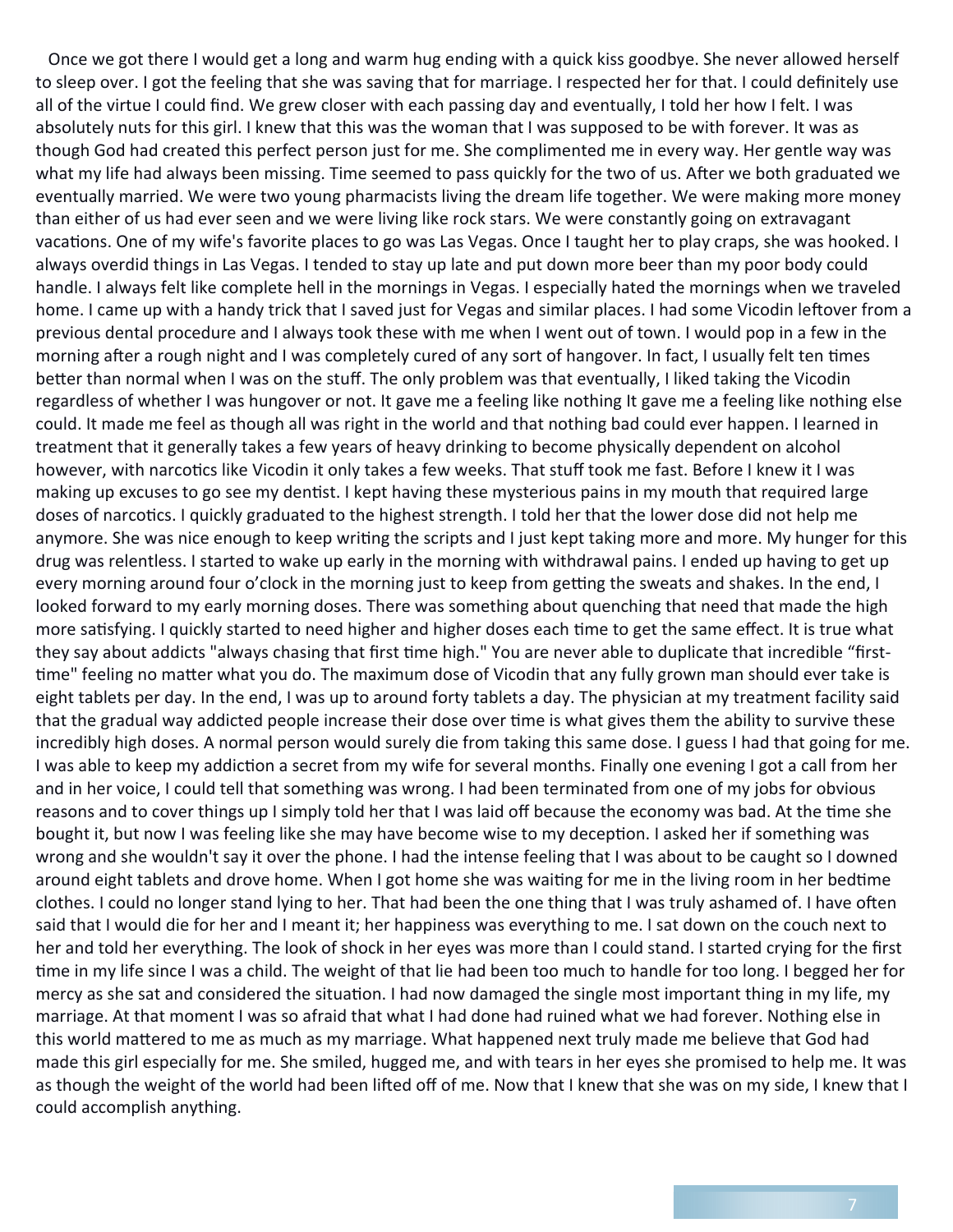Once we got there I would get a long and warm hug ending with a quick kiss goodbye. She never allowed herself to sleep over. I got the feeling that she was saving that for marriage. I respected her for that. I could definitely use all of the virtue I could find. We grew closer with each passing day and eventually, I told her how I felt. I was absolutely nuts for this girl. I knew that this was the woman that I was supposed to be with forever. It was as though God had created this perfect person just for me. She complimented me in every way. Her gentle way was what my life had always been missing. Time seemed to pass quickly for the two of us. After we both graduated we eventually married. We were two young pharmacists living the dream life together. We were making more money than either of us had ever seen and we were living like rock stars. We were constantly going on extravagant vacations. One of my wife's favorite places to go was Las Vegas. Once I taught her to play craps, she was hooked. I always overdid things in Las Vegas. I tended to stay up late and put down more beer than my poor body could handle. I always felt like complete hell in the mornings in Vegas. I especially hated the mornings when we traveled home. I came up with a handy trick that I saved just for Vegas and similar places. I had some Vicodin leftover from a previous dental procedure and I always took these with me when I went out of town. I would pop in a few in the morning after a rough night and I was completely cured of any sort of hangover. In fact, I usually felt ten times better than normal when I was on the stuff. The only problem was that eventually, I liked taking the Vicodin regardless of whether I was hungover or not. It gave me a feeling like nothing It gave me a feeling like nothing else could. It made me feel as though all was right in the world and that nothing bad could ever happen. I learned in treatment that it generally takes a few years of heavy drinking to become physically dependent on alcohol however, with narcotics like Vicodin it only takes a few weeks. That stuff took me fast. Before I knew it I was making up excuses to go see my dentist. I kept having these mysterious pains in my mouth that required large doses of narcotics. I quickly graduated to the highest strength. I told her that the lower dose did not help me anymore. She was nice enough to keep writing the scripts and I just kept taking more and more. My hunger for this drug was relentless. I started to wake up early in the morning with withdrawal pains. I ended up having to get up every morning around four o'clock in the morning just to keep from getting the sweats and shakes. In the end, I looked forward to my early morning doses. There was something about quenching that need that made the high more satisfying. I quickly started to need higher and higher doses each time to get the same effect. It is true what they say about addicts "always chasing that first time high." You are never able to duplicate that incredible "firsttime" feeling no matter what you do. The maximum dose of Vicodin that any fully grown man should ever take is eight tablets per day. In the end, I was up to around forty tablets a day. The physician at my treatment facility said that the gradual way addicted people increase their dose over time is what gives them the ability to survive these incredibly high doses. A normal person would surely die from taking this same dose. I guess I had that going for me. I was able to keep my addiction a secret from my wife for several months. Finally one evening I got a call from her and in her voice, I could tell that something was wrong. I had been terminated from one of my jobs for obvious reasons and to cover things up I simply told her that I was laid off because the economy was bad. At the time she bought it, but now I was feeling like she may have become wise to my deception. I asked her if something was wrong and she wouldn't say it over the phone. I had the intense feeling that I was about to be caught so I downed around eight tablets and drove home. When I got home she was waiting for me in the living room in her bedtime clothes. I could no longer stand lying to her. That had been the one thing that I was truly ashamed of. I have often said that I would die for her and I meant it; her happiness was everything to me. I sat down on the couch next to her and told her everything. The look of shock in her eyes was more than I could stand. I started crying for the first time in my life since I was a child. The weight of that lie had been too much to handle for too long. I begged her for mercy as she sat and considered the situation. I had now damaged the single most important thing in my life, my marriage. At that moment I was so afraid that what I had done had ruined what we had forever. Nothing else in this world mattered to me as much as my marriage. What happened next truly made me believe that God had made this girl especially for me. She smiled, hugged me, and with tears in her eyes she promised to help me. It was as though the weight of the world had been lifted off of me. Now that I knew that she was on my side, I knew that I could accomplish anything.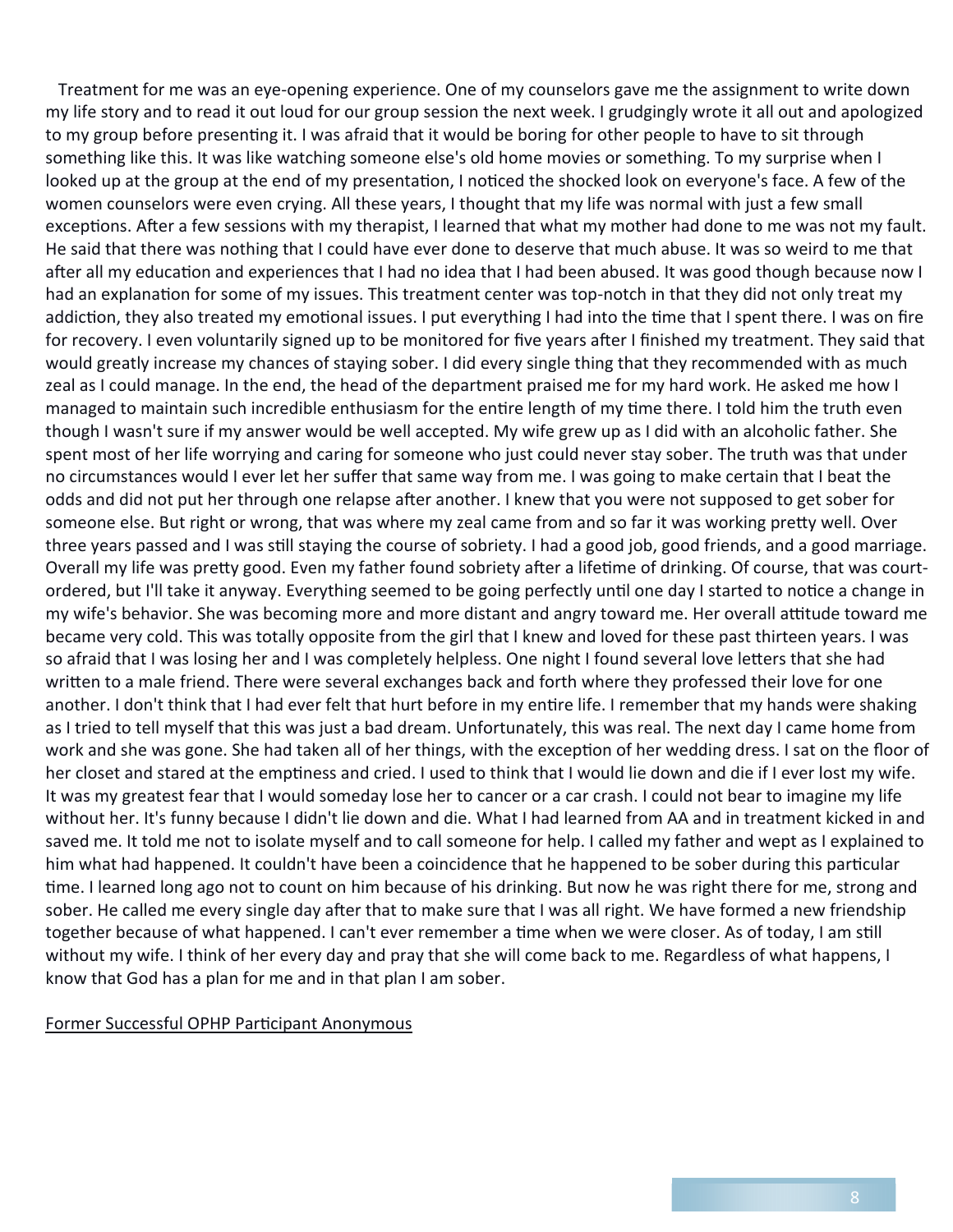Treatment for me was an eye‐opening experience. One of my counselors gave me the assignment to write down my life story and to read it out loud for our group session the next week. I grudgingly wrote it all out and apologized to my group before presenting it. I was afraid that it would be boring for other people to have to sit through something like this. It was like watching someone else's old home movies or something. To my surprise when I looked up at the group at the end of my presentation, I noticed the shocked look on everyone's face. A few of the women counselors were even crying. All these years, I thought that my life was normal with just a few small exceptions. After a few sessions with my therapist, I learned that what my mother had done to me was not my fault. He said that there was nothing that I could have ever done to deserve that much abuse. It was so weird to me that after all my education and experiences that I had no idea that I had been abused. It was good though because now I had an explanation for some of my issues. This treatment center was top-notch in that they did not only treat my addiction, they also treated my emotional issues. I put everything I had into the time that I spent there. I was on fire for recovery. I even voluntarily signed up to be monitored for five years after I finished my treatment. They said that would greatly increase my chances of staying sober. I did every single thing that they recommended with as much zeal as I could manage. In the end, the head of the department praised me for my hard work. He asked me how I managed to maintain such incredible enthusiasm for the entire length of my time there. I told him the truth even though I wasn't sure if my answer would be well accepted. My wife grew up as I did with an alcoholic father. She spent most of her life worrying and caring for someone who just could never stay sober. The truth was that under no circumstances would I ever let her suffer that same way from me. I was going to make certain that I beat the odds and did not put her through one relapse after another. I knew that you were not supposed to get sober for someone else. But right or wrong, that was where my zeal came from and so far it was working pretty well. Over three years passed and I was still staying the course of sobriety. I had a good job, good friends, and a good marriage. Overall my life was pretty good. Even my father found sobriety after a lifetime of drinking. Of course, that was courtordered, but I'll take it anyway. Everything seemed to be going perfectly until one day I started to notice a change in my wife's behavior. She was becoming more and more distant and angry toward me. Her overall attitude toward me became very cold. This was totally opposite from the girl that I knew and loved for these past thirteen years. I was so afraid that I was losing her and I was completely helpless. One night I found several love letters that she had written to a male friend. There were several exchanges back and forth where they professed their love for one another. I don't think that I had ever felt that hurt before in my entire life. I remember that my hands were shaking as I tried to tell myself that this was just a bad dream. Unfortunately, this was real. The next day I came home from work and she was gone. She had taken all of her things, with the exception of her wedding dress. I sat on the floor of her closet and stared at the emptiness and cried. I used to think that I would lie down and die if I ever lost my wife. It was my greatest fear that I would someday lose her to cancer or a car crash. I could not bear to imagine my life without her. It's funny because I didn't lie down and die. What I had learned from AA and in treatment kicked in and saved me. It told me not to isolate myself and to call someone for help. I called my father and wept as I explained to him what had happened. It couldn't have been a coincidence that he happened to be sober during this particular time. I learned long ago not to count on him because of his drinking. But now he was right there for me, strong and sober. He called me every single day after that to make sure that I was all right. We have formed a new friendship together because of what happened. I can't ever remember a time when we were closer. As of today, I am still without my wife. I think of her every day and pray that she will come back to me. Regardless of what happens, I know that God has a plan for me and in that plan I am sober.

#### Former Successful OPHP Participant Anonymous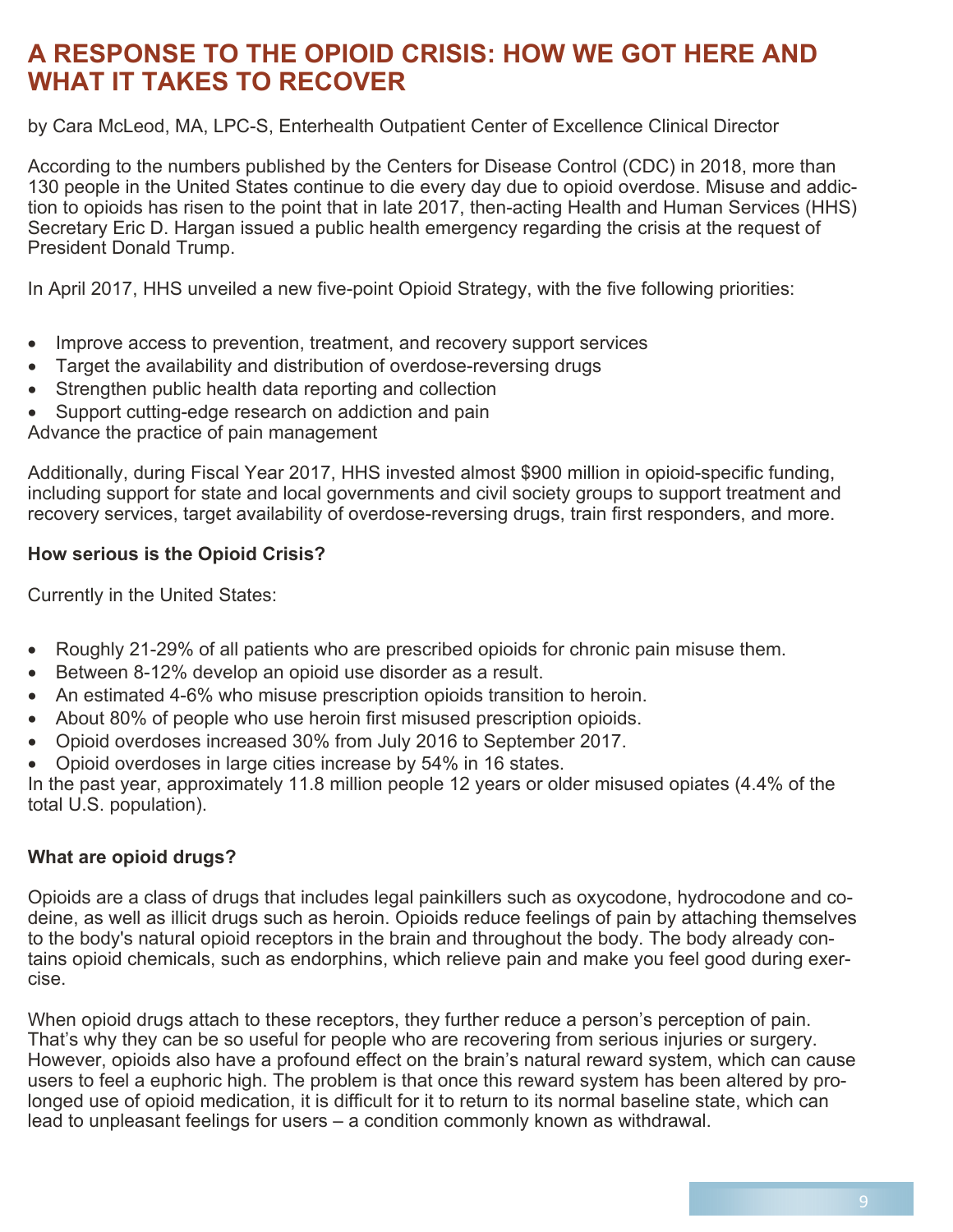# **A RESPONSE TO THE OPIOID CRISIS: HOW WE GOT HERE AND WHAT IT TAKES TO RECOVER**

by Cara McLeod, MA, LPC-S, Enterhealth Outpatient Center of Excellence Clinical Director

According to the numbers published by the Centers for Disease Control (CDC) in 2018, more than 130 people in the United States continue to die every day due to opioid overdose. Misuse and addiction to opioids has risen to the point that in late 2017, then-acting Health and Human Services (HHS) Secretary Eric D. Hargan issued a public health emergency regarding the crisis at the request of President Donald Trump.

In April 2017, HHS unveiled a new five-point Opioid Strategy, with the five following priorities:

- Improve access to prevention, treatment, and recovery support services
- Target the availability and distribution of overdose-reversing drugs
- Strengthen public health data reporting and collection
- Support cutting-edge research on addiction and pain

Advance the practice of pain management

Additionally, during Fiscal Year 2017, HHS invested almost \$900 million in opioid-specific funding, including support for state and local governments and civil society groups to support treatment and recovery services, target availability of overdose-reversing drugs, train first responders, and more.

#### **How serious is the Opioid Crisis?**

Currently in the United States:

- Roughly 21-29% of all patients who are prescribed opioids for chronic pain misuse them.
- Between 8-12% develop an opioid use disorder as a result.
- An estimated 4-6% who misuse prescription opioids transition to heroin.
- About 80% of people who use heroin first misused prescription opioids.
- Opioid overdoses increased 30% from July 2016 to September 2017.
- Opioid overdoses in large cities increase by 54% in 16 states.

In the past year, approximately 11.8 million people 12 years or older misused opiates (4.4% of the total U.S. population).

#### **What are opioid drugs?**

Opioids are a class of drugs that includes legal painkillers such as oxycodone, hydrocodone and codeine, as well as illicit drugs such as heroin. Opioids reduce feelings of pain by attaching themselves to the body's natural opioid receptors in the brain and throughout the body. The body already contains opioid chemicals, such as endorphins, which relieve pain and make you feel good during exercise.

When opioid drugs attach to these receptors, they further reduce a person's perception of pain. That's why they can be so useful for people who are recovering from serious injuries or surgery. However, opioids also have a profound effect on the brain's natural reward system, which can cause users to feel a euphoric high. The problem is that once this reward system has been altered by prolonged use of opioid medication, it is difficult for it to return to its normal baseline state, which can lead to unpleasant feelings for users – a condition commonly known as withdrawal.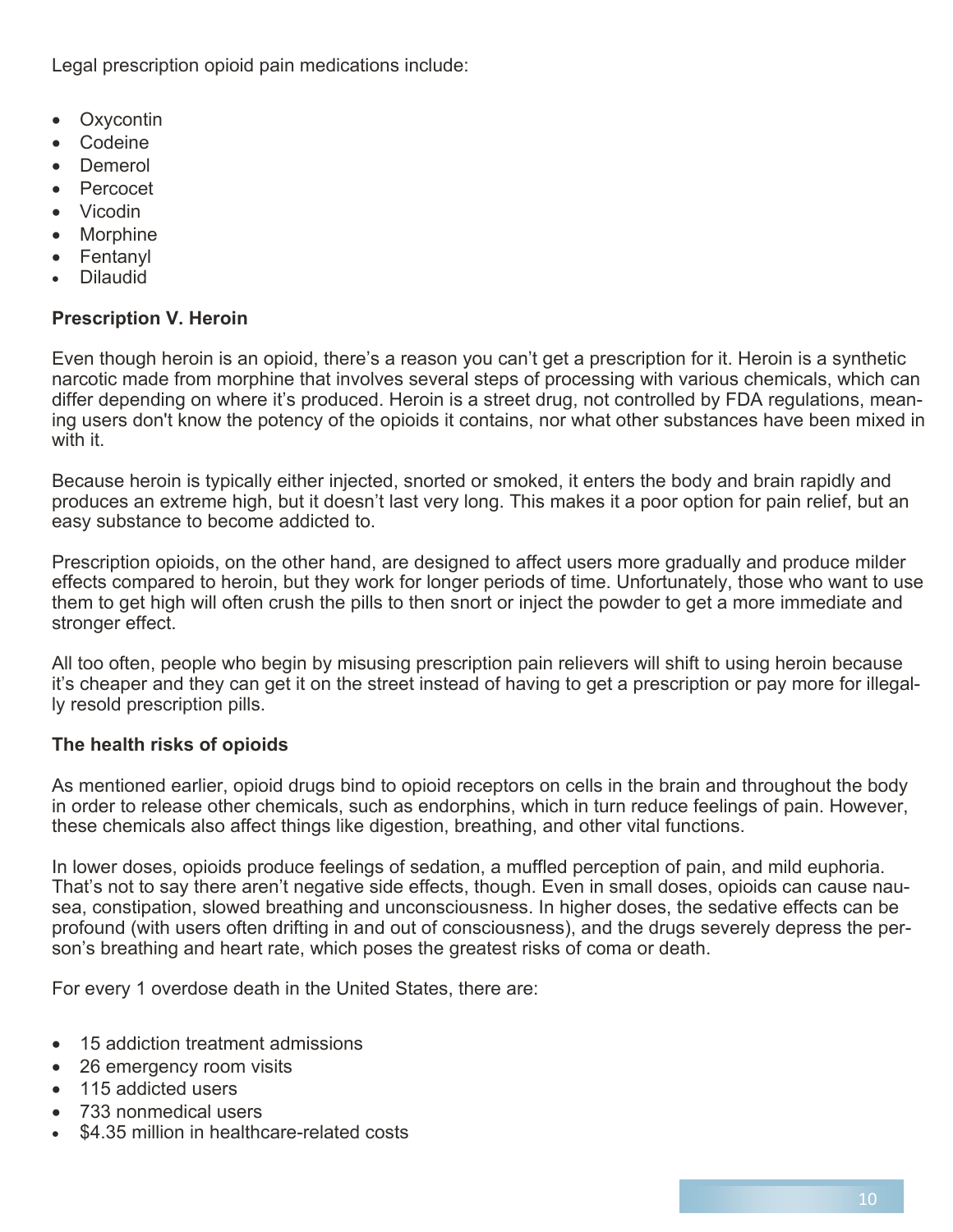Legal prescription opioid pain medications include:

- Oxycontin
- Codeine
- Demerol
- Percocet
- Vicodin
- Morphine
- Fentanyl
- Dilaudid

#### **Prescription V. Heroin**

Even though heroin is an opioid, there's a reason you can't get a prescription for it. Heroin is a synthetic narcotic made from morphine that involves several steps of processing with various chemicals, which can differ depending on where it's produced. Heroin is a street drug, not controlled by FDA regulations, meaning users don't know the potency of the opioids it contains, nor what other substances have been mixed in with it.

Because heroin is typically either injected, snorted or smoked, it enters the body and brain rapidly and produces an extreme high, but it doesn't last very long. This makes it a poor option for pain relief, but an easy substance to become addicted to.

Prescription opioids, on the other hand, are designed to affect users more gradually and produce milder effects compared to heroin, but they work for longer periods of time. Unfortunately, those who want to use them to get high will often crush the pills to then snort or inject the powder to get a more immediate and stronger effect.

All too often, people who begin by misusing prescription pain relievers will shift to using heroin because it's cheaper and they can get it on the street instead of having to get a prescription or pay more for illegally resold prescription pills.

#### **The health risks of opioids**

As mentioned earlier, opioid drugs bind to opioid receptors on cells in the brain and throughout the body in order to release other chemicals, such as endorphins, which in turn reduce feelings of pain. However, these chemicals also affect things like digestion, breathing, and other vital functions.

In lower doses, opioids produce feelings of sedation, a muffled perception of pain, and mild euphoria. That's not to say there aren't negative side effects, though. Even in small doses, opioids can cause nausea, constipation, slowed breathing and unconsciousness. In higher doses, the sedative effects can be profound (with users often drifting in and out of consciousness), and the drugs severely depress the person's breathing and heart rate, which poses the greatest risks of coma or death.

For every 1 overdose death in the United States, there are:

- 15 addiction treatment admissions
- 26 emergency room visits
- 115 addicted users
- 733 nonmedical users
- \$4.35 million in healthcare-related costs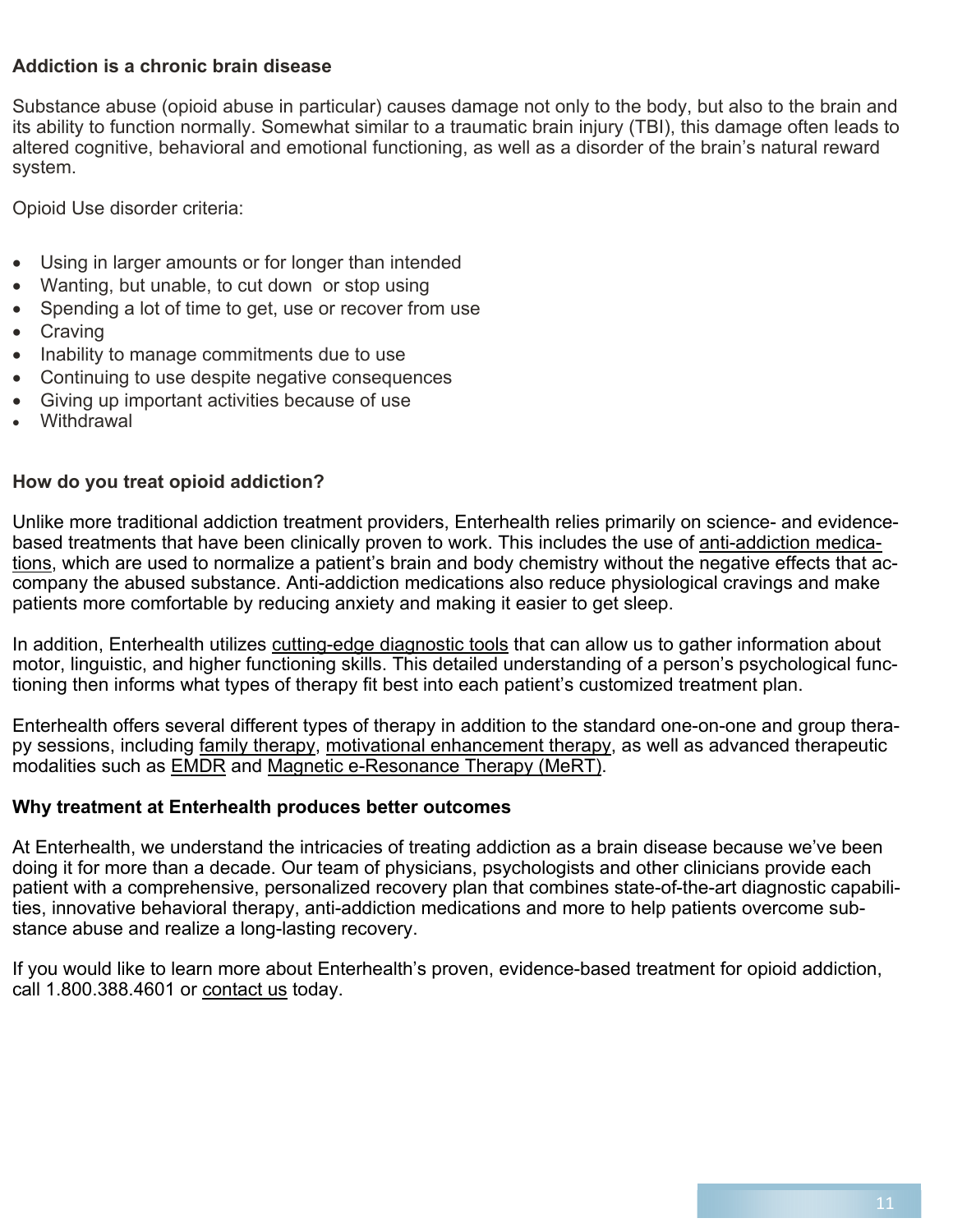## **Addiction is a chronic brain disease**

Substance abuse (opioid abuse in particular) causes damage not only to the body, but also to the brain and its ability to function normally. Somewhat similar to a traumatic brain injury (TBI), this damage often leads to altered cognitive, behavioral and emotional functioning, as well as a disorder of the brain's natural reward system.

Opioid Use disorder criteria:

- Using in larger amounts or for longer than intended
- Wanting, but unable, to cut down or stop using
- Spending a lot of time to get, use or recover from use
- Craving
- Inability to manage commitments due to use
- Continuing to use despite negative consequences
- Giving up important activities because of use
- Withdrawal

#### **How do you treat opioid addiction?**

Unlike more traditional addiction treatment providers, Enterhealth relies primarily on science- and evidencebased treatments that have been clinically proven to work. This includes the use of anti-addiction medications, which are used to normalize a patient's brain and body chemistry without the negative effects that accompany the abused substance. Anti-addiction medications also reduce physiological cravings and make patients more comfortable by reducing anxiety and making it easier to get sleep.

In addition, Enterhealth utilizes cutting-edge diagnostic tools that can allow us to gather information about motor, linguistic, and higher functioning skills. This detailed understanding of a person's psychological functioning then informs what types of therapy fit best into each patient's customized treatment plan.

Enterhealth offers several different types of therapy in addition to the standard one-on-one and group therapy sessions, including family therapy, motivational enhancement therapy, as well as advanced therapeutic modalities such as EMDR and Magnetic e-Resonance Therapy (MeRT).

#### **Why treatment at Enterhealth produces better outcomes**

At Enterhealth, we understand the intricacies of treating addiction as a brain disease because we've been doing it for more than a decade. Our team of physicians, psychologists and other clinicians provide each patient with a comprehensive, personalized recovery plan that combines state-of-the-art diagnostic capabilities, innovative behavioral therapy, anti-addiction medications and more to help patients overcome substance abuse and realize a long-lasting recovery.

If you would like to learn more about Enterhealth's proven, evidence-based treatment for opioid addiction, call 1.800.388.4601 or contact us today.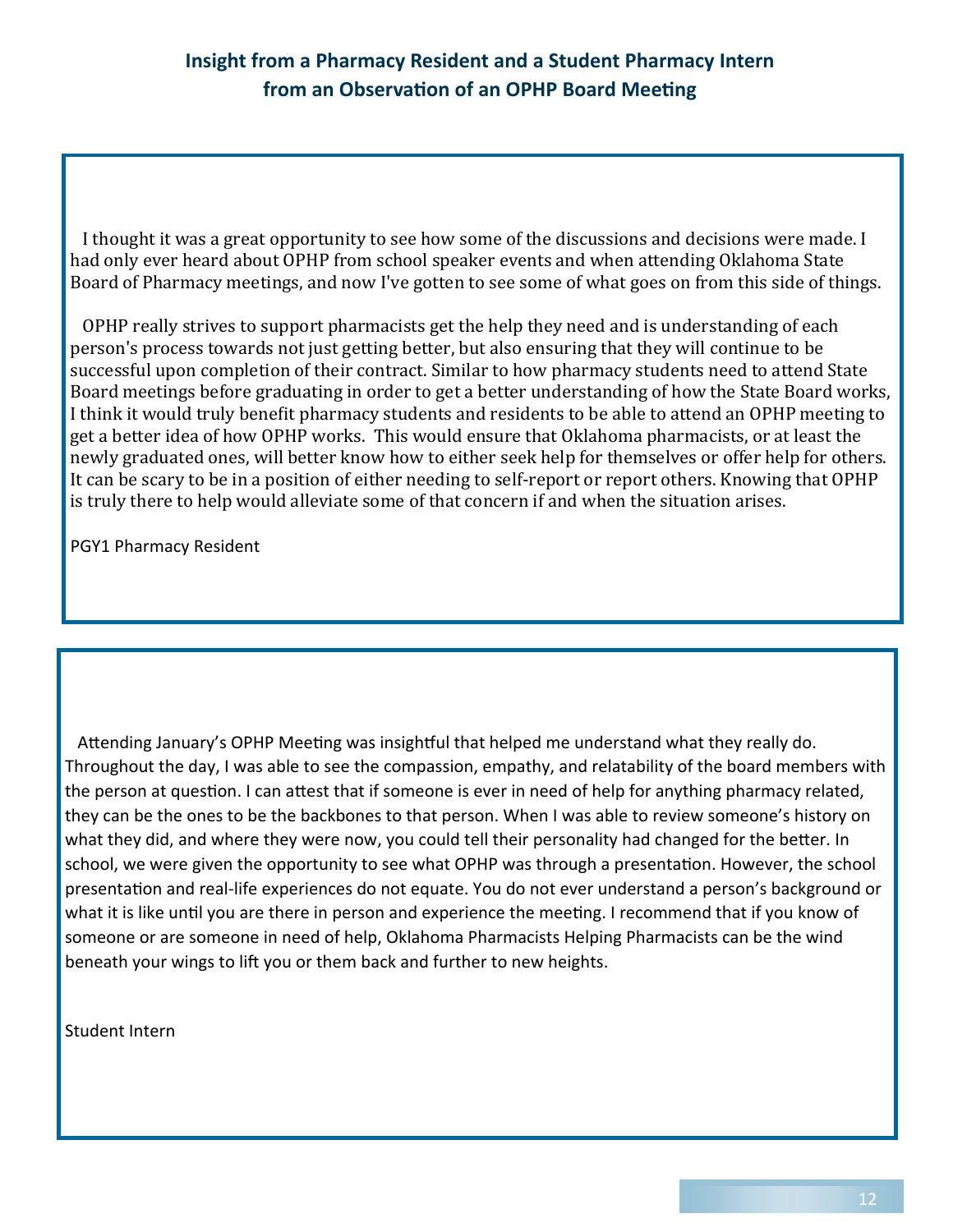I thought it was a great opportunity to see how some of the discussions and decisions were made. I had only ever heard about OPHP from school speaker events and when attending Oklahoma State Board of Pharmacy meetings, and now I've gotten to see some of what goes on from this side of things.

 OPHP really strives to support pharmacists get the help they need and is understanding of each person's process towards not just getting better, but also ensuring that they will continue to be successful upon completion of their contract. Similar to how pharmacy students need to attend State Board meetings before graduating in order to get a better understanding of how the State Board works, I think it would truly benefit pharmacy students and residents to be able to attend an OPHP meeting to get a better idea of how OPHP works. This would ensure that Oklahoma pharmacists, or at least the newly graduated ones, will better know how to either seek help for themselves or offer help for others. It can be scary to be in a position of either needing to self-report or report others. Knowing that OPHP is truly there to help would alleviate some of that concern if and when the situation arises.

PGY1 Pharmacy Resident

Attending January's OPHP Meeting was insightful that helped me understand what they really do. Throughout the day, I was able to see the compassion, empathy, and relatability of the board members with the person at question. I can attest that if someone is ever in need of help for anything pharmacy related, they can be the ones to be the backbones to that person. When I was able to review someone's history on what they did, and where they were now, you could tell their personality had changed for the better. In school, we were given the opportunity to see what OPHP was through a presentation. However, the school presentation and real-life experiences do not equate. You do not ever understand a person's background or what it is like until you are there in person and experience the meeting. I recommend that if you know of someone or are someone in need of help, Oklahoma Pharmacists Helping Pharmacists can be the wind beneath your wings to lift you or them back and further to new heights.

Student Intern